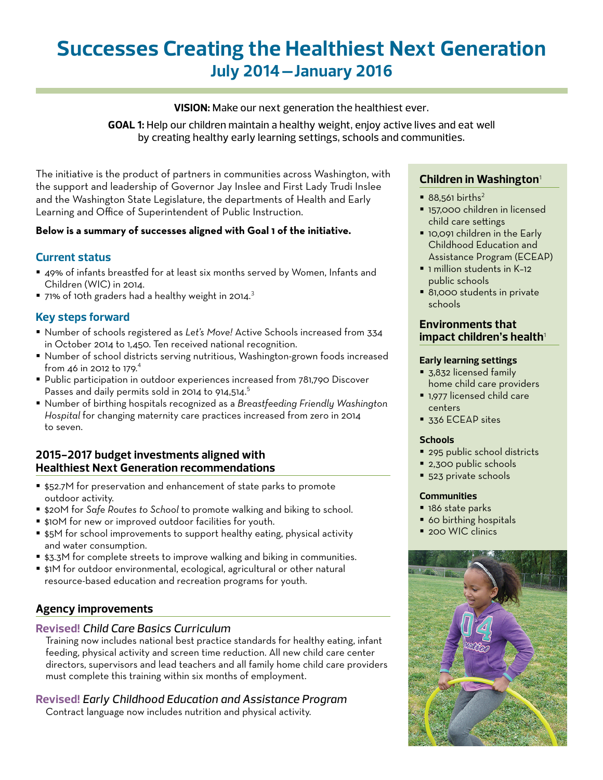# **Successes Creating the Healthiest Next Generation July 2014 –January 2016**

## **VISION:** Make our next generation the healthiest ever.

**GOAL 1:** Help our children maintain a healthy weight, enjoy active lives and eat well by creating healthy early learning settings, schools and communities.

The initiative is the product of partners in communities across Washington, with the support and leadership of Governor Jay Inslee and First Lady Trudi Inslee and the Washington State Legislature, the departments of Health and Early Learning and Office of Superintendent of Public Instruction.

## **Below is a summary of successes aligned with Goal 1 of the initiative.**

# **Current status**

- 49% of infants breastfed for at least six months served by Women, Infants and Children (WIC) in 2014.
- $\blacksquare$  71% of 10th graders had a healthy weight in 2014.<sup>3</sup>

# **Key steps forward**

- Number of schools registered as *Let's Move!* Active Schools increased from 334 in October 2014 to 1,450. Ten received national recognition.
- Number of school districts serving nutritious, Washington-grown foods increased from 46 in 2012 to 179.<sup>4</sup>
- **Public participation in outdoor experiences increased from 781,790 Discover** Passes and daily permits sold in 2014 to 914,514.<sup>5</sup>
- Number of birthing hospitals recognized as a *Breastfeeding Friendly Washington Hospital* for changing maternity care practices increased from zero in 2014 to seven.

# **2015-2017 budget investments aligned with Healthiest Next Generation recommendations**

- \$52.7M for preservation and enhancement of state parks to promote outdoor activity.
- \$20M for *Safe Routes to School* to promote walking and biking to school.
- \$10M for new or improved outdoor facilities for youth.
- **55M** for school improvements to support healthy eating, physical activity and water consumption.
- **53.3M** for complete streets to improve walking and biking in communities.
- \$1M for outdoor environmental, ecological, agricultural or other natural resource-based education and recreation programs for youth.

# **Agency improvements**

#### **Revised!** *Child Care Basics Curriculum*

Training now includes national best practice standards for healthy eating, infant feeding, physical activity and screen time reduction. All new child care center directors, supervisors and lead teachers and all family home child care providers must complete this training within six months of employment.

## **Revised!** *Early Childhood Education and Assistance Program*

Contract language now includes nutrition and physical activity.

# **Children in Washington**<sup>1</sup>

- $\approx 88.561 \text{ births}^2$
- **157,000 children in licensed** child care settings
- **10,091 children in the Early** Childhood Education and Assistance Program (ECEAP)
- **1** I million students in K-12 public schools
- 81,000 students in private schools

## **Environments that impact children's health**<sup>1</sup>

#### **Early learning settings**

- 3,832 licensed family home child care providers
- **1,977 licensed child care** centers
- **336 ECEAP sites**

#### **Schools**

- <sup>295</sup> public school districts
- 2,300 public schools
- 523 private schools

#### **Communities**

- 186 state parks
- **60 birthing hospitals**
- 200 WIC clinics